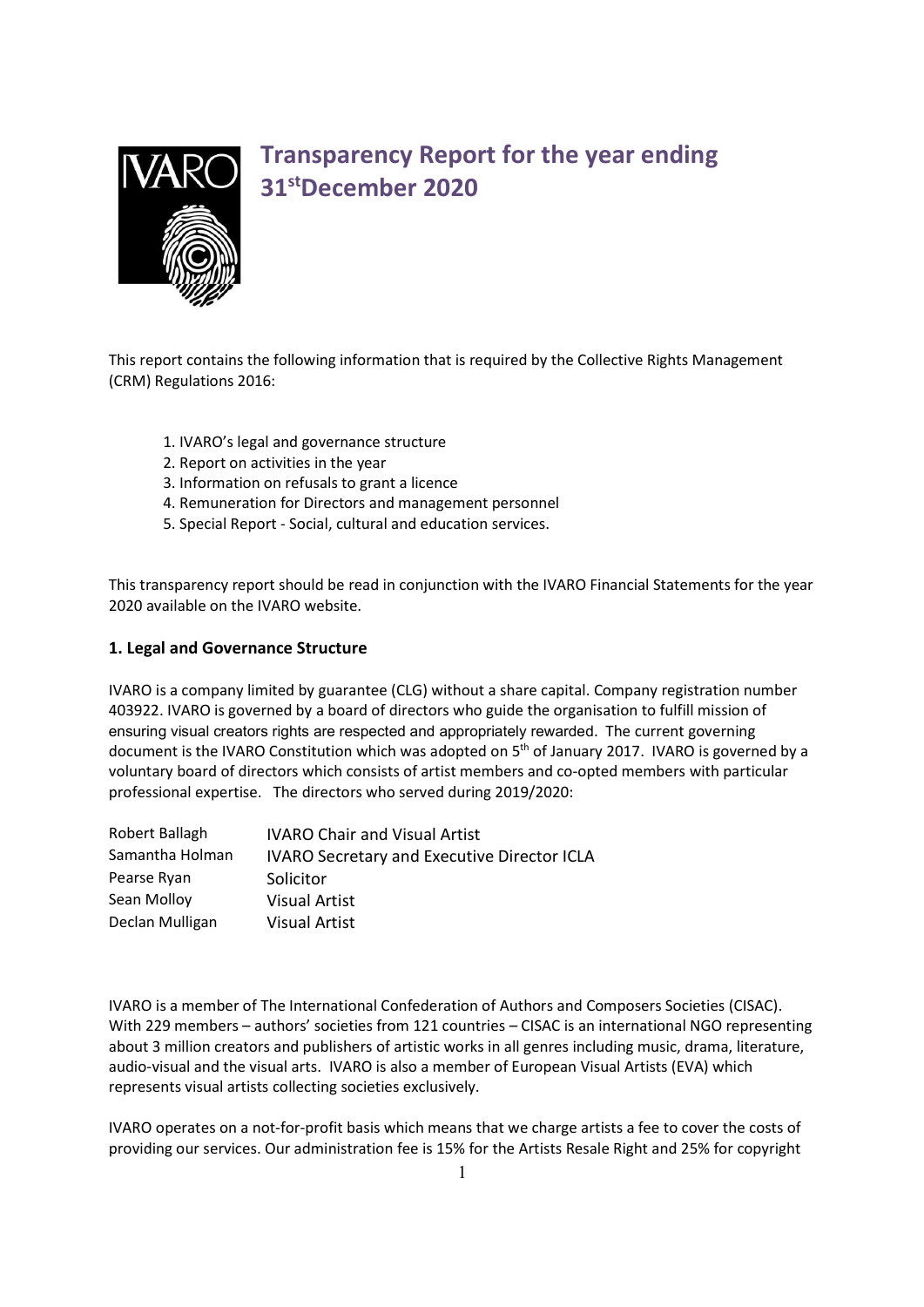

# Transparency Report for the year ending 31stDecember 2020

This report contains the following information that is required by the Collective Rights Management (CRM) Regulations 2016:

- 1. IVARO's legal and governance structure
- 2. Report on activities in the year
- 3. Information on refusals to grant a licence
- 4. Remuneration for Directors and management personnel
- 5. Special Report Social, cultural and education services.

This transparency report should be read in conjunction with the IVARO Financial Statements for the year 2020 available on the IVARO website.

#### 1. Legal and Governance Structure

IVARO is a company limited by guarantee (CLG) without a share capital. Company registration number 403922. IVARO is governed by a board of directors who guide the organisation to fulfill mission of ensuring visual creators rights are respected and appropriately rewarded. The current governing document is the IVARO Constitution which was adopted on 5<sup>th</sup> of January 2017. IVARO is governed by a voluntary board of directors which consists of artist members and co-opted members with particular professional expertise. The directors who served during 2019/2020:

| <b>IVARO Chair and Visual Artist</b>               |
|----------------------------------------------------|
| <b>IVARO Secretary and Executive Director ICLA</b> |
| Solicitor                                          |
| <b>Visual Artist</b>                               |
| <b>Visual Artist</b>                               |
|                                                    |

IVARO is a member of The International Confederation of Authors and Composers Societies (CISAC). With 229 members – authors' societies from 121 countries – CISAC is an international NGO representing about 3 million creators and publishers of artistic works in all genres including music, drama, literature, audio-visual and the visual arts. IVARO is also a member of European Visual Artists (EVA) which represents visual artists collecting societies exclusively.

IVARO operates on a not-for-profit basis which means that we charge artists a fee to cover the costs of providing our services. Our administration fee is 15% for the Artists Resale Right and 25% for copyright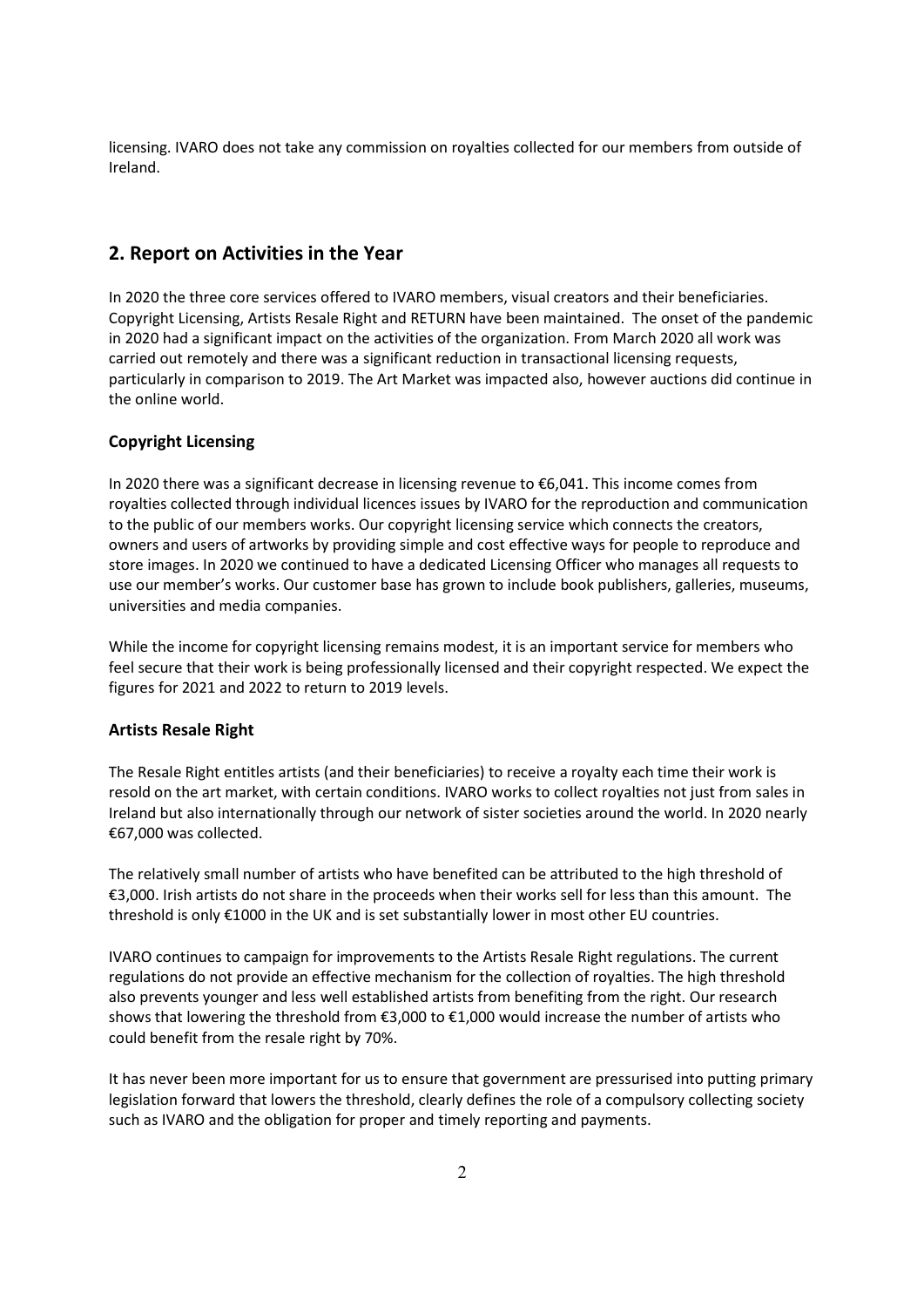licensing. IVARO does not take any commission on royalties collected for our members from outside of Ireland.

# 2. Report on Activities in the Year

In 2020 the three core services offered to IVARO members, visual creators and their beneficiaries. Copyright Licensing, Artists Resale Right and RETURN have been maintained. The onset of the pandemic in 2020 had a significant impact on the activities of the organization. From March 2020 all work was carried out remotely and there was a significant reduction in transactional licensing requests, particularly in comparison to 2019. The Art Market was impacted also, however auctions did continue in the online world.

## Copyright Licensing

In 2020 there was a significant decrease in licensing revenue to €6,041. This income comes from royalties collected through individual licences issues by IVARO for the reproduction and communication to the public of our members works. Our copyright licensing service which connects the creators, owners and users of artworks by providing simple and cost effective ways for people to reproduce and store images. In 2020 we continued to have a dedicated Licensing Officer who manages all requests to use our member's works. Our customer base has grown to include book publishers, galleries, museums, universities and media companies.

While the income for copyright licensing remains modest, it is an important service for members who feel secure that their work is being professionally licensed and their copyright respected. We expect the figures for 2021 and 2022 to return to 2019 levels.

#### Artists Resale Right

The Resale Right entitles artists (and their beneficiaries) to receive a royalty each time their work is resold on the art market, with certain conditions. IVARO works to collect royalties not just from sales in Ireland but also internationally through our network of sister societies around the world. In 2020 nearly €67,000 was collected.

The relatively small number of artists who have benefited can be attributed to the high threshold of €3,000. Irish artists do not share in the proceeds when their works sell for less than this amount. The threshold is only €1000 in the UK and is set substantially lower in most other EU countries.

IVARO continues to campaign for improvements to the Artists Resale Right regulations. The current regulations do not provide an effective mechanism for the collection of royalties. The high threshold also prevents younger and less well established artists from benefiting from the right. Our research shows that lowering the threshold from €3,000 to €1,000 would increase the number of artists who could benefit from the resale right by 70%.

It has never been more important for us to ensure that government are pressurised into putting primary legislation forward that lowers the threshold, clearly defines the role of a compulsory collecting society such as IVARO and the obligation for proper and timely reporting and payments.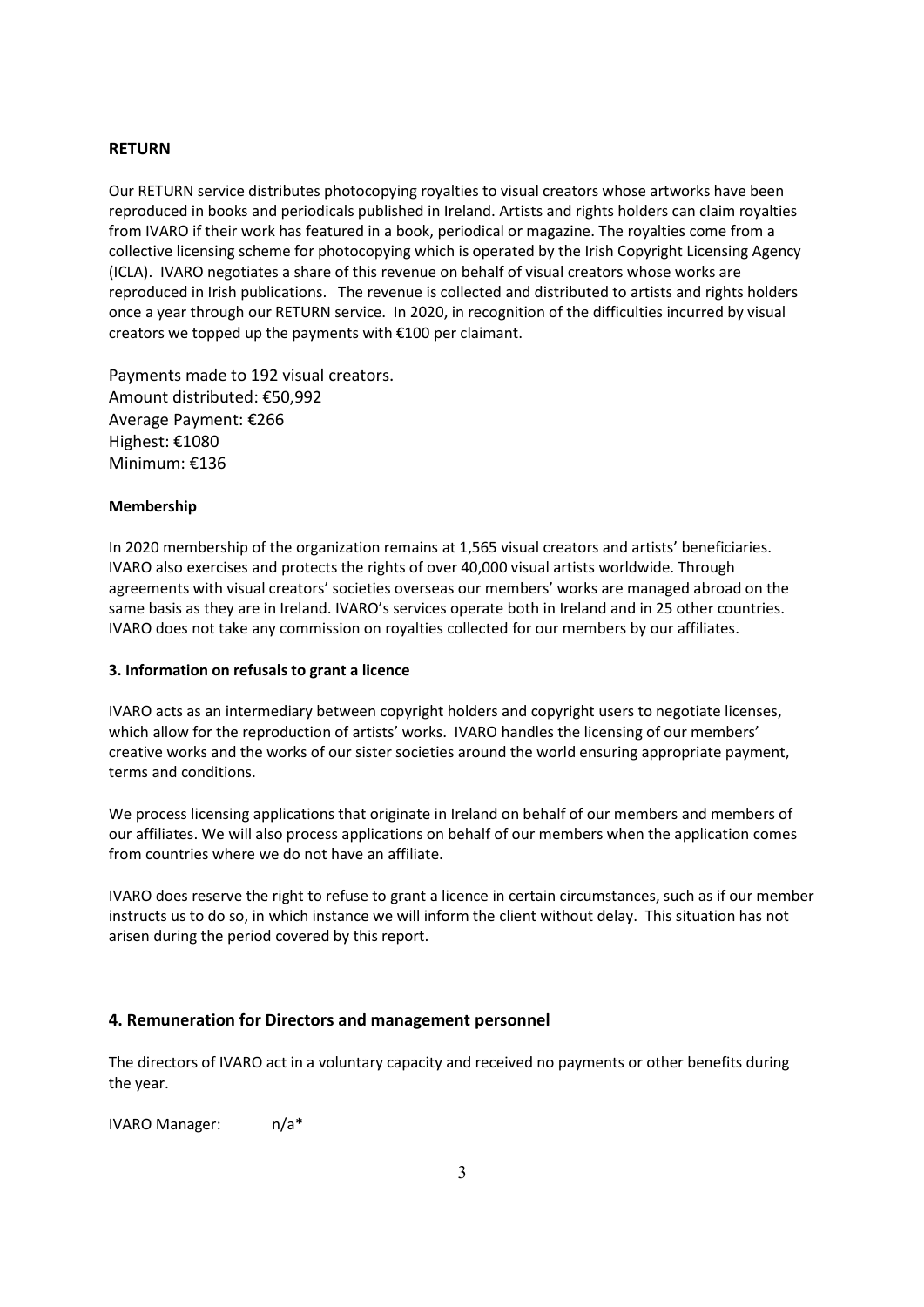## RETURN

Our RETURN service distributes photocopying royalties to visual creators whose artworks have been reproduced in books and periodicals published in Ireland. Artists and rights holders can claim royalties from IVARO if their work has featured in a book, periodical or magazine. The royalties come from a collective licensing scheme for photocopying which is operated by the Irish Copyright Licensing Agency (ICLA). IVARO negotiates a share of this revenue on behalf of visual creators whose works are reproduced in Irish publications. The revenue is collected and distributed to artists and rights holders once a year through our RETURN service. In 2020, in recognition of the difficulties incurred by visual creators we topped up the payments with €100 per claimant.

Payments made to 192 visual creators. Amount distributed: €50,992 Average Payment: €266 Highest: €1080 Minimum: €136

#### Membership

In 2020 membership of the organization remains at 1,565 visual creators and artists' beneficiaries. IVARO also exercises and protects the rights of over 40,000 visual artists worldwide. Through agreements with visual creators' societies overseas our members' works are managed abroad on the same basis as they are in Ireland. IVARO's services operate both in Ireland and in 25 other countries. IVARO does not take any commission on royalties collected for our members by our affiliates.

#### 3. Information on refusals to grant a licence

IVARO acts as an intermediary between copyright holders and copyright users to negotiate licenses, which allow for the reproduction of artists' works. IVARO handles the licensing of our members' creative works and the works of our sister societies around the world ensuring appropriate payment, terms and conditions.

We process licensing applications that originate in Ireland on behalf of our members and members of our affiliates. We will also process applications on behalf of our members when the application comes from countries where we do not have an affiliate.

IVARO does reserve the right to refuse to grant a licence in certain circumstances, such as if our member instructs us to do so, in which instance we will inform the client without delay. This situation has not arisen during the period covered by this report.

#### 4. Remuneration for Directors and management personnel

The directors of IVARO act in a voluntary capacity and received no payments or other benefits during the year.

IVARO Manager: n/a\*